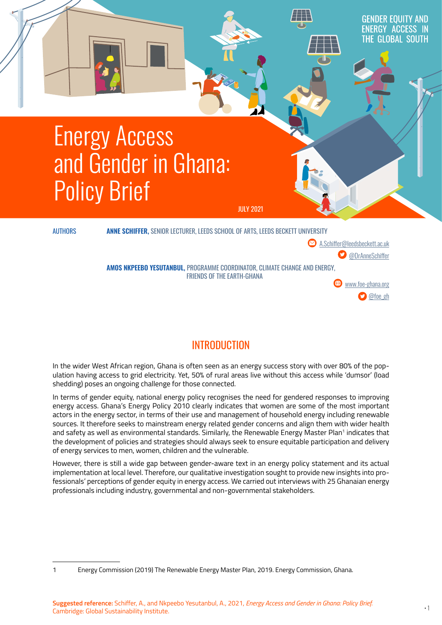

## **INTRODUCTION**

In the wider West African region, Ghana is often seen as an energy success story with over 80% of the population having access to grid electricity. Yet, 50% of rural areas live without this access while 'dumsor' (load shedding) poses an ongoing challenge for those connected.

In terms of gender equity, national energy policy recognises the need for gendered responses to improving energy access. Ghana's Energy Policy 2010 clearly indicates that women are some of the most important actors in the energy sector, in terms of their use and management of household energy including renewable sources. It therefore seeks to mainstream energy related gender concerns and align them with wider health and safety as well as environmental standards. Similarly, the Renewable Energy Master Plan<sup>1</sup> indicates that the development of policies and strategies should always seek to ensure equitable participation and delivery of energy services to men, women, children and the vulnerable.

However, there is still a wide gap between gender-aware text in an energy policy statement and its actual implementation at local level. Therefore, our qualitative investigation sought to provide new insights into professionals' perceptions of gender equity in energy access. We carried out interviews with 25 Ghanaian energy professionals including industry, governmental and non-governmental stakeholders.

<sup>1</sup> Energy Commission (2019) The Renewable Energy Master Plan, 2019. Energy Commission, Ghana.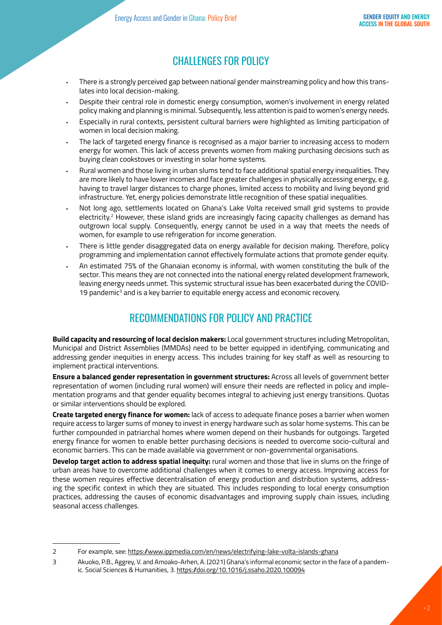## CHALLENGES FOR POLICY

- There is a strongly perceived gap between national gender mainstreaming policy and how this translates into local decision-making.
- Despite their central role in domestic energy consumption, women's involvement in energy related policy making and planning is minimal. Subsequently, less attention is paid to women's energy needs.
- Especially in rural contexts, persistent cultural barriers were highlighted as limiting participation of women in local decision making.
- The lack of targeted energy finance is recognised as a major barrier to increasing access to modern energy for women. This lack of access prevents women from making purchasing decisions such as buying clean cookstoves or investing in solar home systems.
- Rural women and those living in urban slums tend to face additional spatial energy inequalities. They are more likely to have lower incomes and face greater challenges in physically accessing energy, e.g. having to travel larger distances to charge phones, limited access to mobility and living beyond grid infrastructure. Yet, energy policies demonstrate little recognition of these spatial inequalities.
- Not long ago, settlements located on Ghana's Lake Volta received small grid systems to provide electricity.<sup>2</sup> However, these island grids are increasingly facing capacity challenges as demand has outgrown local supply. Consequently, energy cannot be used in a way that meets the needs of women, for example to use refrigeration for income generation.
- There is little gender disaggregated data on energy available for decision making. Therefore, policy programming and implementation cannot effectively formulate actions that promote gender equity.
- An estimated 75% of the Ghanaian economy is informal, with women constituting the bulk of the sector. This means they are not connected into the national energy related development framework, leaving energy needs unmet. This systemic structural issue has been exacerbated during the COVID-19 pandemic<sup>3</sup> and is a key barrier to equitable energy access and economic recovery.

## RECOMMENDATIONS FOR POLICY AND PRACTICE

**Build capacity and resourcing of local decision makers:** Local government structures including Metropolitan, Municipal and District Assemblies (MMDAs) need to be better equipped in identifying, communicating and addressing gender inequities in energy access. This includes training for key staff as well as resourcing to implement practical interventions.

**Ensure a balanced gender representation in government structures:** Across all levels of government better representation of women (including rural women) will ensure their needs are reflected in policy and implementation programs and that gender equality becomes integral to achieving just energy transitions. Quotas or similar interventions should be explored.

**Create targeted energy finance for women:** lack of access to adequate finance poses a barrier when women require access to larger sums of money to invest in energy hardware such as solar home systems. This can be further compounded in patriarchal homes where women depend on their husbands for outgoings. Targeted energy finance for women to enable better purchasing decisions is needed to overcome socio-cultural and economic barriers. This can be made available via government or non-governmental organisations.

**Develop target action to address spatial inequity:** rural women and those that live in slums on the fringe of urban areas have to overcome additional challenges when it comes to energy access. Improving access for these women requires effective decentralisation of energy production and distribution systems, addressing the specific context in which they are situated. This includes responding to local energy consumption practices, addressing the causes of economic disadvantages and improving supply chain issues, including seasonal access challenges.

<sup>2</sup> For example, see:<https://www.ippmedia.com/en/news/electrifying-lake-volta-islands-ghana>

<sup>3</sup> Akuoko, P.B., Aggrey, V. and Amoako-Arhen, A. (2021) Ghana's informal economic sector in the face of a pandemic. Social Sciences & Humanities, 3.<https://doi.org/10.1016/j.ssaho.2020.100094>